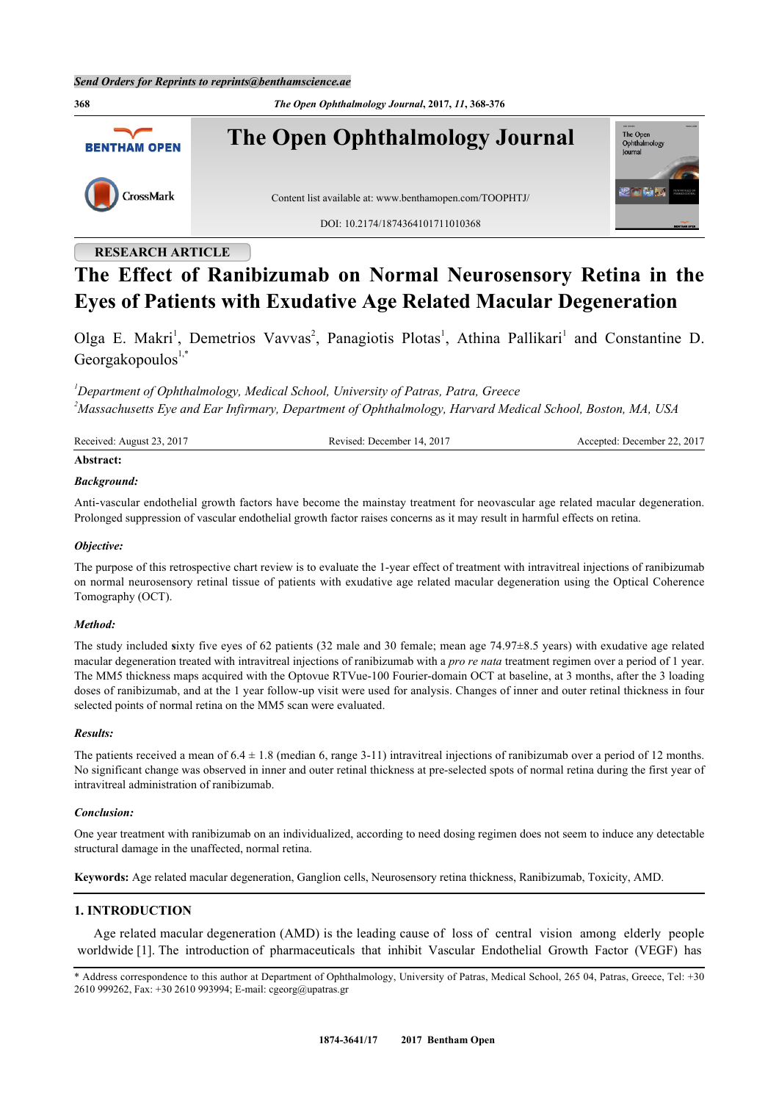**368** *The Open Ophthalmology Journal***, 2017,** *11***, 368-376 The Open Ophthalmology Journal** The Open<br>Ophthalm **BENTHAM OPEN** CrossMark Content list available at: [www.benthamopen.com/TOOPHTJ/](http://www.benthamopen.com/TOOPHTJ/) DOI: [10.2174/1874364101711010368](http://dx.doi.org/10.2174/1874364101711010368)

# **RESEARCH ARTICLE**

# **The Effect of Ranibizumab on Normal Neurosensory Retina in the Eyes of Patients with Exudative Age Related Macular Degeneration**

Olga E. Makri<sup>[1](#page-0-0)</sup>, Demetrios Vavvas<sup>[2](#page-0-1)</sup>, Panagiotis Plotas<sup>1</sup>, Athina Pallikari<sup>1</sup> and Constantine D. Georgakopoulos $1, *$  $1, *$  $1, *$ 

<span id="page-0-1"></span><span id="page-0-0"></span>*<sup>1</sup>Department of Ophthalmology, Medical School, University of Patras, Patra, Greece <sup>2</sup>Massachusetts Eye and Ear Infirmary, Department of Ophthalmology, Harvard Medical School, Boston, MA, USA*

| Received: August 23, 2017 | Revised: December 14, 2017 | Accepted: December 22, 2017 |
|---------------------------|----------------------------|-----------------------------|
| Abstract:                 |                            |                             |

# *Background:*

Anti-vascular endothelial growth factors have become the mainstay treatment for neovascular age related macular degeneration. Prolonged suppression of vascular endothelial growth factor raises concerns as it may result in harmful effects on retina.

### *Objective:*

The purpose of this retrospective chart review is to evaluate the 1-year effect of treatment with intravitreal injections of ranibizumab on normal neurosensory retinal tissue of patients with exudative age related macular degeneration using the Optical Coherence Tomography (OCT).

### *Method:*

The study included **s**ixty five eyes of 62 patients (32 male and 30 female; mean age 74.97±8.5 years) with exudative age related macular degeneration treated with intravitreal injections of ranibizumab with a *pro re nata* treatment regimen over a period of 1 year. The MM5 thickness maps acquired with the Optovue RTVue-100 Fourier-domain OCT at baseline, at 3 months, after the 3 loading doses of ranibizumab, and at the 1 year follow-up visit were used for analysis. Changes of inner and outer retinal thickness in four selected points of normal retina on the MM5 scan were evaluated.

### *Results:*

The patients received a mean of  $6.4 \pm 1.8$  (median 6, range 3-11) intravitreal injections of ranibizumab over a period of 12 months. No significant change was observed in inner and outer retinal thickness at pre-selected spots of normal retina during the first year of intravitreal administration of ranibizumab.

### *Conclusion:*

One year treatment with ranibizumab on an individualized, according to need dosing regimen does not seem to induce any detectable structural damage in the unaffected, normal retina.

**Keywords:** Age related macular degeneration, Ganglion cells, Neurosensory retina thickness, Ranibizumab, Toxicity, AMD.

### **1. INTRODUCTION**

Age related macular degeneration (AMD) is the leading cause of loss of central vision among elderly people worldwide [[1\]](#page-6-0). The introduction of pharmaceuticals that inhibit Vascular Endothelial Growth Factor (VEGF) has

<span id="page-0-2"></span><sup>\*</sup> Address correspondence to this author at Department of Ophthalmology, University of Patras, Medical School, 265 04, Patras, Greece, Tel: +30 2610 999262, Fax: +30 2610 993994; E-mail: [cgeorg@upatras.gr](mailto:cgeorg@upatras.gr)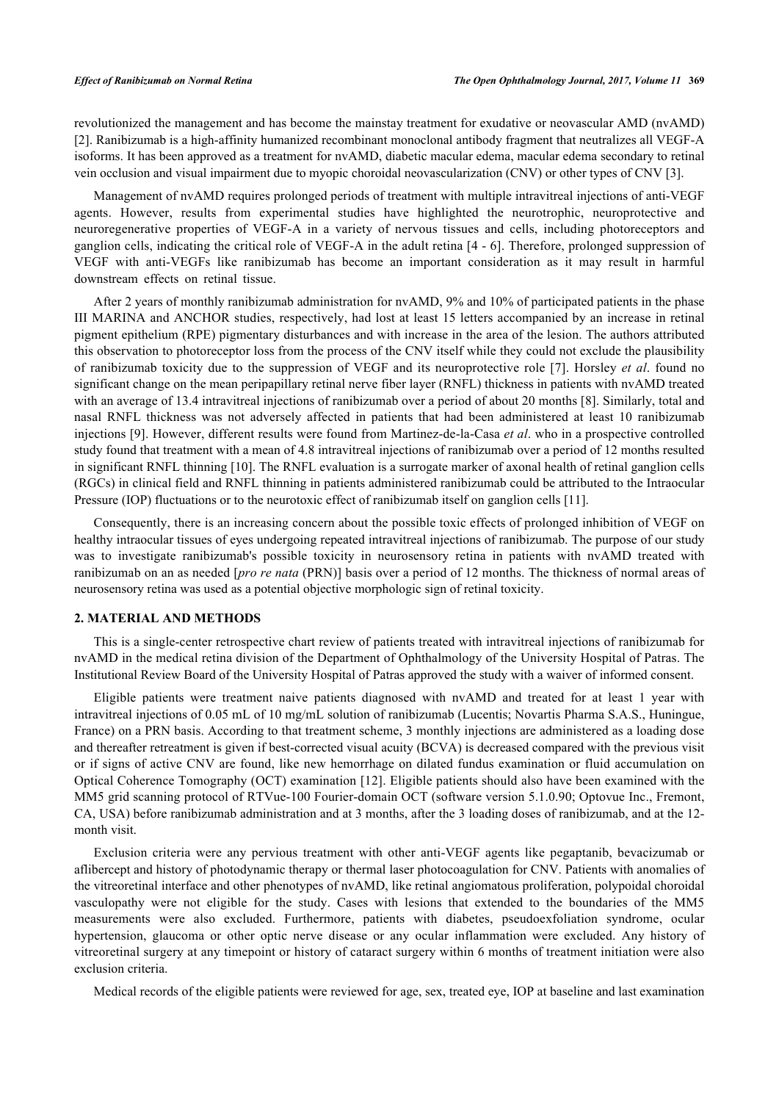revolutionized the management and has become the mainstay treatment for exudative or neovascular AMD (nvAMD) [\[2](#page-6-1)]. Ranibizumab is a high-affinity humanized recombinant monoclonal antibody fragment that neutralizes all VEGF-A isoforms. It has been approved as a treatment for nvAMD, diabetic macular edema, macular edema secondary to retinal vein occlusion and visual impairment due to myopic choroidal neovascularization (CNV) or other types of CNV [\[3](#page-6-2)].

Management of nvAMD requires prolonged periods of treatment with multiple intravitreal injections of anti-VEGF agents. However, results from experimental studies have highlighted the neurotrophic, neuroprotective and neuroregenerative properties of VEGF-A in a variety of nervous tissues and cells, including photoreceptors and ganglion cells, indicating the critical role of VEGF-A in the adult retina [\[4](#page-7-0) - [6\]](#page-7-1). Therefore, prolonged suppression of VEGF with anti-VEGFs like ranibizumab has become an important consideration as it may result in harmful downstream effects on retinal tissue.

After 2 years of monthly ranibizumab administration for nvAMD, 9% and 10% of participated patients in the phase III MARINA and ANCHOR studies, respectively, had lost at least 15 letters accompanied by an increase in retinal pigment epithelium (RPE) pigmentary disturbances and with increase in the area of the lesion. The authors attributed this observation to photoreceptor loss from the process of the CNV itself while they could not exclude the plausibility of ranibizumab toxicity due to the suppression of VEGF and its neuroprotective role [[7](#page-7-2)]. Horsley *et al*. found no significant change on the mean peripapillary retinal nerve fiber layer (RNFL) thickness in patients with nvAMD treated with an average of 13.4 intravitreal injections of ranibizumab over a period of about 20 months [\[8](#page-7-3)]. Similarly, total and nasal RNFL thickness was not adversely affected in patients that had been administered at least 10 ranibizumab injections [[9\]](#page-7-4). However, different results were found from Martinez-de-la-Casa *et al*. who in a prospective controlled study found that treatment with a mean of 4.8 intravitreal injections of ranibizumab over a period of 12 months resulted in significant RNFL thinning [[10\]](#page-7-5). The RNFL evaluation is a surrogate marker of axonal health of retinal ganglion cells (RGCs) in clinical field and RNFL thinning in patients administered ranibizumab could be attributed to the Intraocular Pressure (IOP) fluctuations or to the neurotoxic effect of ranibizumab itself on ganglion cells [\[11](#page-7-6)].

Consequently, there is an increasing concern about the possible toxic effects of prolonged inhibition of VEGF on healthy intraocular tissues of eyes undergoing repeated intravitreal injections of ranibizumab. The purpose of our study was to investigate ranibizumab's possible toxicity in neurosensory retina in patients with nvAMD treated with ranibizumab on an as needed [*pro re nata* (PRN)] basis over a period of 12 months. The thickness of normal areas of neurosensory retina was used as a potential objective morphologic sign of retinal toxicity.

### **2. MATERIAL AND METHODS**

This is a single-center retrospective chart review of patients treated with intravitreal injections of ranibizumab for nvAMD in the medical retina division of the Department of Ophthalmology of the University Hospital of Patras. The Institutional Review Board of the University Hospital of Patras approved the study with a waiver of informed consent.

Eligible patients were treatment naive patients diagnosed with nvAMD and treated for at least 1 year with intravitreal injections of 0.05 mL of 10 mg/mL solution of ranibizumab (Lucentis; Novartis Pharma S.A.S., Huningue, France) on a PRN basis. According to that treatment scheme, 3 monthly injections are administered as a loading dose and thereafter retreatment is given if best-corrected visual acuity (BCVA) is decreased compared with the previous visit or if signs of active CNV are found, like new hemorrhage on dilated fundus examination or fluid accumulation on Optical Coherence Tomography (OCT) examination [[12](#page-7-7)]. Eligible patients should also have been examined with the MM5 grid scanning protocol of RTVue-100 Fourier-domain OCT (software version 5.1.0.90; Optovue Inc., Fremont, CA, USA) before ranibizumab administration and at 3 months, after the 3 loading doses of ranibizumab, and at the 12 month visit.

Exclusion criteria were any pervious treatment with other anti-VEGF agents like pegaptanib, bevacizumab or aflibercept and history of photodynamic therapy or thermal laser photocoagulation for CNV. Patients with anomalies of the vitreoretinal interface and other phenotypes of nvAMD, like retinal angiomatous proliferation, polypoidal choroidal vasculopathy were not eligible for the study. Cases with lesions that extended to the boundaries of the MM5 measurements were also excluded. Furthermore, patients with diabetes, pseudoexfoliation syndrome, ocular hypertension, glaucoma or other optic nerve disease or any ocular inflammation were excluded. Any history of vitreoretinal surgery at any timepoint or history of cataract surgery within 6 months of treatment initiation were also exclusion criteria.

Medical records of the eligible patients were reviewed for age, sex, treated eye, IOP at baseline and last examination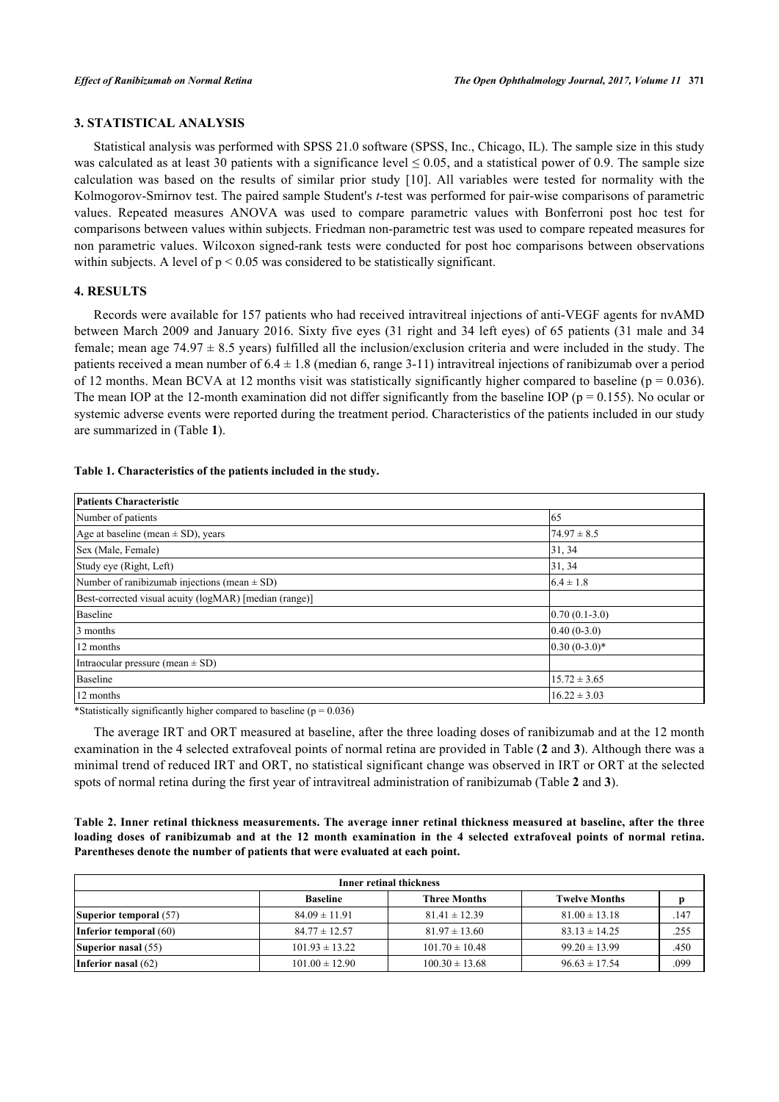# **3. STATISTICAL ANALYSIS**

Statistical analysis was performed with SPSS 21.0 software (SPSS, Inc., Chicago, IL). The sample size in this study was calculated as at least 30 patients with a significance level  $\leq 0.05$ , and a statistical power of 0.9. The sample size calculation was based on the results of similar prior study[[10\]](#page-7-5). All variables were tested for normality with the Kolmogorov-Smirnov test. The paired sample Student's *t*-test was performed for pair-wise comparisons of parametric values. Repeated measures ANOVA was used to compare parametric values with Bonferroni post hoc test for comparisons between values within subjects. Friedman non-parametric test was used to compare repeated measures for non parametric values. Wilcoxon signed-rank tests were conducted for post hoc comparisons between observations within subjects. A level of  $p < 0.05$  was considered to be statistically significant.

## **4. RESULTS**

Records were available for 157 patients who had received intravitreal injections of anti-VEGF agents for nvAMD between March 2009 and January 2016. Sixty five eyes (31 right and 34 left eyes) of 65 patients (31 male and 34 female; mean age  $74.97 \pm 8.5$  years) fulfilled all the inclusion/exclusion criteria and were included in the study. The patients received a mean number of  $6.4 \pm 1.8$  (median 6, range 3-11) intravitreal injections of ranibizumab over a period of 12 months. Mean BCVA at 12 months visit was statistically significantly higher compared to baseline ( $p = 0.036$ ). The mean IOP at the 12-month examination did not differ significantly from the baseline IOP ( $p = 0.155$ ). No ocular or systemic adverse events were reported during the treatment period. Characteristics of the patients included in our study are summarized in (Table **[1](#page-3-0)**).

<span id="page-3-0"></span>

| Table 1. Characteristics of the patients included in the study. |  |  |  |
|-----------------------------------------------------------------|--|--|--|
|                                                                 |  |  |  |

| Patients Characteristic                                |                  |  |
|--------------------------------------------------------|------------------|--|
| Number of patients                                     | 65               |  |
| Age at baseline (mean $\pm$ SD), years                 | $74.97 \pm 8.5$  |  |
| Sex (Male, Female)                                     | 31, 34           |  |
| Study eye (Right, Left)                                | 31, 34           |  |
| Number of ranibizumab injections (mean $\pm$ SD)       | $6.4 \pm 1.8$    |  |
| Best-corrected visual acuity (logMAR) [median (range)] |                  |  |
| Baseline                                               | $0.70(0.1-3.0)$  |  |
| 3 months                                               | $0.40(0-3.0)$    |  |
| 12 months                                              | $0.30(0-3.0)*$   |  |
| Intraocular pressure (mean $\pm$ SD)                   |                  |  |
| Baseline                                               | $15.72 \pm 3.65$ |  |
| 12 months                                              | $16.22 \pm 3.03$ |  |

\*Statistically significantly higher compared to baseline ( $p = 0.036$ )

The average IRT and ORT measured at baseline, after the three loading doses of ranibizumab and at the 12 month examination in the 4 selected extrafoveal points of normal retina are provided in Table (**[2](#page-3-1)** and **[3](#page-4-0)**). Although there was a minimal trend of reduced IRT and ORT, no statistical significant change was observed in IRT or ORT at the selected spots of normal retina during the first year of intravitreal administration of ranibizumab (Table **[2](#page-3-1)** and **[3](#page-4-0)**).

<span id="page-3-1"></span>**Table 2. Inner retinal thickness measurements. The average inner retinal thickness measured at baseline, after the three loading doses of ranibizumab and at the 12 month examination in the 4 selected extrafoveal points of normal retina. Parentheses denote the number of patients that were evaluated at each point.**

| <b>Inner retinal thickness</b> |                    |                     |                      |      |
|--------------------------------|--------------------|---------------------|----------------------|------|
|                                | <b>Baseline</b>    | <b>Three Months</b> | <b>Twelve Months</b> |      |
| <b>Superior temporal</b> (57)  | $84.09 \pm 11.91$  | $81.41 \pm 12.39$   | $81.00 \pm 13.18$    | .147 |
| Inferior temporal (60)         | $84.77 \pm 12.57$  | $81.97 \pm 13.60$   | $83.13 \pm 14.25$    | .255 |
| Superior nasal (55)            | $101.93 \pm 13.22$ | $101.70 \pm 10.48$  | $99.20 \pm 13.99$    | .450 |
| Inferior nasal $(62)$          | $101.00 \pm 12.90$ | $100.30 \pm 13.68$  | $96.63 \pm 17.54$    | .099 |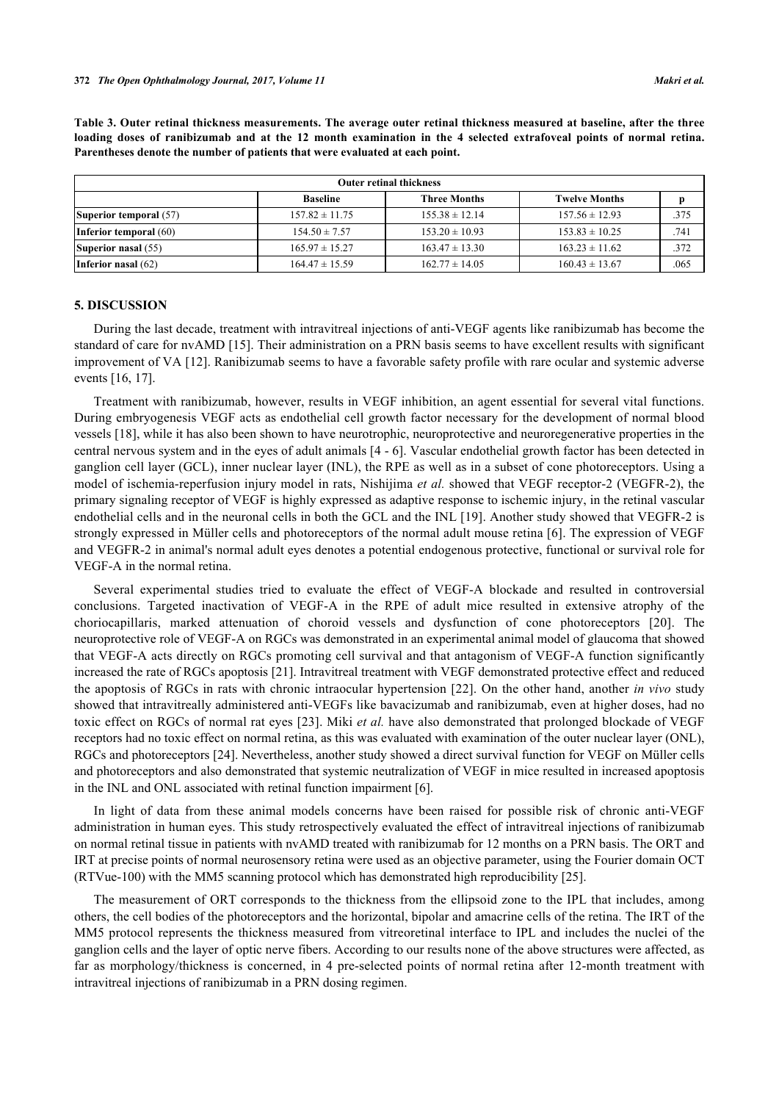| <b>Outer retinal thickness</b> |                    |                     |                      |      |
|--------------------------------|--------------------|---------------------|----------------------|------|
|                                | <b>Baseline</b>    | <b>Three Months</b> | <b>Twelve Months</b> |      |
| Superior temporal (57)         | $157.82 \pm 11.75$ | $155.38 \pm 12.14$  | $157.56 \pm 12.93$   | .375 |
| Inferior temporal (60)         | $154.50 \pm 7.57$  | $153.20 \pm 10.93$  | $153.83 \pm 10.25$   | .741 |
| Superior nasal (55)            | $165.97 \pm 15.27$ | $163.47 \pm 13.30$  | $163.23 \pm 11.62$   | .372 |
| Inferior nasal $(62)$          | $164.47 \pm 15.59$ | $162.77 \pm 14.05$  | $160.43 \pm 13.67$   | .065 |

<span id="page-4-0"></span>**Table 3. Outer retinal thickness measurements. The average outer retinal thickness measured at baseline, after the three loading doses of ranibizumab and at the 12 month examination in the 4 selected extrafoveal points of normal retina. Parentheses denote the number of patients that were evaluated at each point.**

### **5. DISCUSSION**

During the last decade, treatment with intravitreal injections of anti-VEGF agents like ranibizumab has become the standard of care for nvAMD [\[15](#page-7-8)]. Their administration on a PRN basis seems to have excellent results with significant improvement of VA [\[12](#page-7-7)]. Ranibizumab seems to have a favorable safety profile with rare ocular and systemic adverse events [\[16](#page-7-9), [17](#page-7-10)].

Treatment with ranibizumab, however, results in VEGF inhibition, an agent essential for several vital functions. During embryogenesis VEGF acts as endothelial cell growth factor necessary for the development of normal blood vessels [\[18](#page-7-11)], while it has also been shown to have neurotrophic, neuroprotective and neuroregenerative properties in the central nervous system and in the eyes of adult animals [\[4](#page-7-0) - [6](#page-7-1)]. Vascular endothelial growth factor has been detected in ganglion cell layer (GCL), inner nuclear layer (INL), the RPE as well as in a subset of cone photoreceptors. Using a model of ischemia-reperfusion injury model in rats, Nishijima *et al.* showed that VEGF receptor-2 (VEGFR-2), the primary signaling receptor of VEGF is highly expressed as adaptive response to ischemic injury, in the retinal vascular endothelial cells and in the neuronal cells in both the GCL and the INL [\[19\]](#page-7-12). Another study showed that VEGFR-2 is strongly expressed in Müller cells and photoreceptors of the normal adult mouse retina [[6\]](#page-7-1). The expression of VEGF and VEGFR-2 in animal's normal adult eyes denotes a potential endogenous protective, functional or survival role for VEGF-A in the normal retina.

Several experimental studies tried to evaluate the effect of VEGF-A blockade and resulted in controversial conclusions. Targeted inactivation of VEGF-A in the RPE of adult mice resulted in extensive atrophy of the choriocapillaris, marked attenuation of choroid vessels and dysfunction of cone photoreceptors[[20\]](#page-7-13). The neuroprotective role of VEGF-A on RGCs was demonstrated in an experimental animal model of glaucoma that showed that VEGF-A acts directly on RGCs promoting cell survival and that antagonism of VEGF-A function significantly increased the rate of RGCs apoptosis [[21\]](#page-7-14). Intravitreal treatment with VEGF demonstrated protective effect and reduced the apoptosis of RGCs in rats with chronic intraocular hypertension [\[22\]](#page-7-15). On the other hand, another *in vivo* study showed that intravitreally administered anti-VEGFs like bavacizumab and ranibizumab, even at higher doses, had no toxic effect on RGCs of normal rat eyes [[23\]](#page-7-16). Miki *et al.* have also demonstrated that prolonged blockade of VEGF receptors had no toxic effect on normal retina, as this was evaluated with examination of the outer nuclear layer (ONL), RGCs and photoreceptors [\[24](#page-8-0)]. Nevertheless, another study showed a direct survival function for VEGF on Müller cells and photoreceptors and also demonstrated that systemic neutralization of VEGF in mice resulted in increased apoptosis in the INL and ONL associated with retinal function impairment [[6\]](#page-7-1).

In light of data from these animal models concerns have been raised for possible risk of chronic anti-VEGF administration in human eyes. This study retrospectively evaluated the effect of intravitreal injections of ranibizumab on normal retinal tissue in patients with nvAMD treated with ranibizumab for 12 months on a PRN basis. The ORT and IRT at precise points of normal neurosensory retina were used as an objective parameter, using the Fourier domain OCT (RTVue-100) with the MM5 scanning protocol which has demonstrated high reproducibility [\[25](#page-8-1)].

The measurement of ORT corresponds to the thickness from the ellipsoid zone to the IPL that includes, among others, the cell bodies of the photoreceptors and the horizontal, bipolar and amacrine cells of the retina. The IRT of the MM5 protocol represents the thickness measured from vitreoretinal interface to IPL and includes the nuclei of the ganglion cells and the layer of optic nerve fibers. According to our results none of the above structures were affected, as far as morphology/thickness is concerned, in 4 pre-selected points of normal retina after 12-month treatment with intravitreal injections of ranibizumab in a PRN dosing regimen.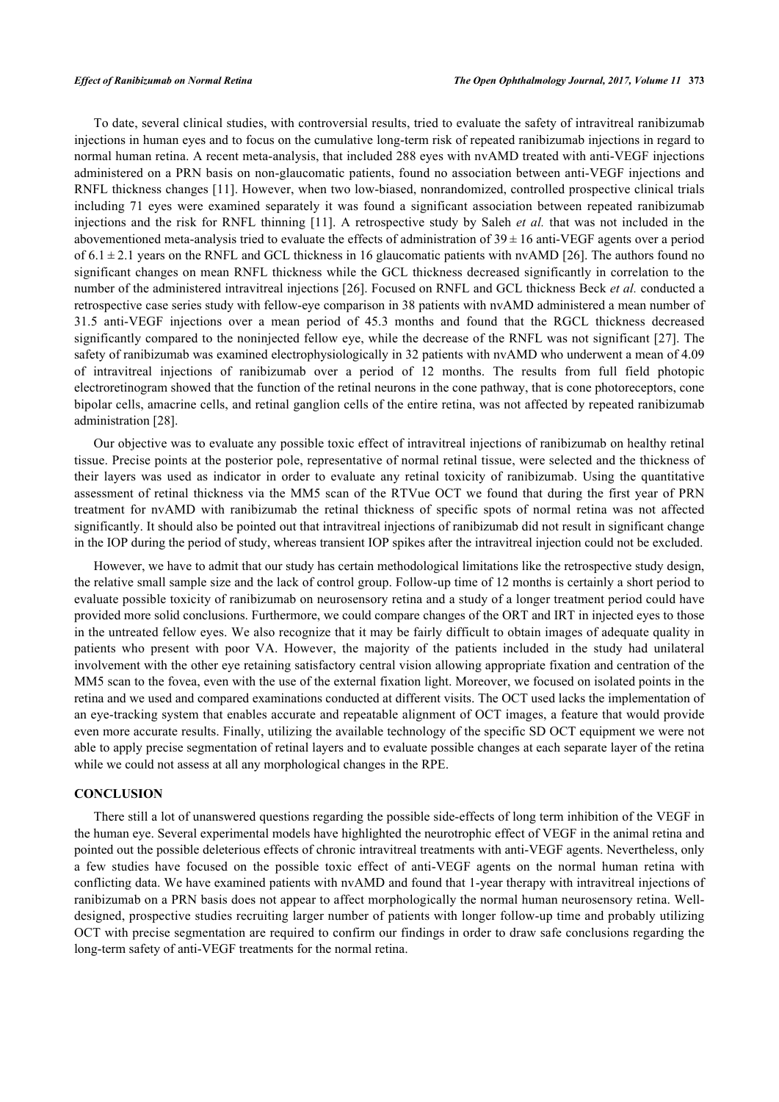To date, several clinical studies, with controversial results, tried to evaluate the safety of intravitreal ranibizumab injections in human eyes and to focus on the cumulative long-term risk of repeated ranibizumab injections in regard to normal human retina. A recent meta-analysis, that included 288 eyes with nvAMD treated with anti-VEGF injections administered on a PRN basis on non-glaucomatic patients, found no association between anti-VEGF injections and RNFL thickness changes [[11](#page-7-6)]. However, when two low-biased, nonrandomized, controlled prospective clinical trials including 71 eyes were examined separately it was found a significant association between repeated ranibizumab injections and the risk for RNFL thinning [[11\]](#page-7-6). A retrospective study by Saleh *et al.* that was not included in the abovementioned meta-analysis tried to evaluate the effects of administration of  $39 \pm 16$  anti-VEGF agents over a period of  $6.1 \pm 2.1$  years on the RNFL and GCL thickness in 16 glaucomatic patients with nvAMD [\[26\]](#page-8-2). The authors found no significant changes on mean RNFL thickness while the GCL thickness decreased significantly in correlation to the number of the administered intravitreal injections [[26](#page-8-2)]. Focused on RNFL and GCL thickness Beck *et al.* conducted a retrospective case series study with fellow-eye comparison in 38 patients with nvAMD administered a mean number of 31.5 anti-VEGF injections over a mean period of 45.3 months and found that the RGCL thickness decreased significantly compared to the noninjected fellow eye, while the decrease of the RNFL was not significant [\[27\]](#page-8-3). The safety of ranibizumab was examined electrophysiologically in 32 patients with nvAMD who underwent a mean of 4.09 of intravitreal injections of ranibizumab over a period of 12 months. The results from full field photopic electroretinogram showed that the function of the retinal neurons in the cone pathway, that is cone photoreceptors, cone bipolar cells, amacrine cells, and retinal ganglion cells of the entire retina, was not affected by repeated ranibizumab administration [\[28](#page-8-4)].

Our objective was to evaluate any possible toxic effect of intravitreal injections of ranibizumab on healthy retinal tissue. Precise points at the posterior pole, representative of normal retinal tissue, were selected and the thickness of their layers was used as indicator in order to evaluate any retinal toxicity of ranibizumab. Using the quantitative assessment of retinal thickness via the MM5 scan of the RTVue OCT we found that during the first year of PRN treatment for nvAMD with ranibizumab the retinal thickness of specific spots of normal retina was not affected significantly. It should also be pointed out that intravitreal injections of ranibizumab did not result in significant change in the IOP during the period of study, whereas transient IOP spikes after the intravitreal injection could not be excluded.

However, we have to admit that our study has certain methodological limitations like the retrospective study design, the relative small sample size and the lack of control group. Follow-up time of 12 months is certainly a short period to evaluate possible toxicity of ranibizumab on neurosensory retina and a study of a longer treatment period could have provided more solid conclusions. Furthermore, we could compare changes of the ORT and IRT in injected eyes to those in the untreated fellow eyes. We also recognize that it may be fairly difficult to obtain images of adequate quality in patients who present with poor VA. However, the majority of the patients included in the study had unilateral involvement with the other eye retaining satisfactory central vision allowing appropriate fixation and centration of the MM5 scan to the fovea, even with the use of the external fixation light. Moreover, we focused on isolated points in the retina and we used and compared examinations conducted at different visits. The OCT used lacks the implementation of an eye-tracking system that enables accurate and repeatable alignment of OCT images, a feature that would provide even more accurate results. Finally, utilizing the available technology of the specific SD OCT equipment we were not able to apply precise segmentation of retinal layers and to evaluate possible changes at each separate layer of the retina while we could not assess at all any morphological changes in the RPE.

# **CONCLUSION**

There still a lot of unanswered questions regarding the possible side-effects of long term inhibition of the VEGF in the human eye. Several experimental models have highlighted the neurotrophic effect of VEGF in the animal retina and pointed out the possible deleterious effects of chronic intravitreal treatments with anti-VEGF agents. Nevertheless, only a few studies have focused on the possible toxic effect of anti-VEGF agents on the normal human retina with conflicting data. We have examined patients with nvAMD and found that 1-year therapy with intravitreal injections of ranibizumab on a PRN basis does not appear to affect morphologically the normal human neurosensory retina. Welldesigned, prospective studies recruiting larger number of patients with longer follow-up time and probably utilizing OCT with precise segmentation are required to confirm our findings in order to draw safe conclusions regarding the long-term safety of anti-VEGF treatments for the normal retina.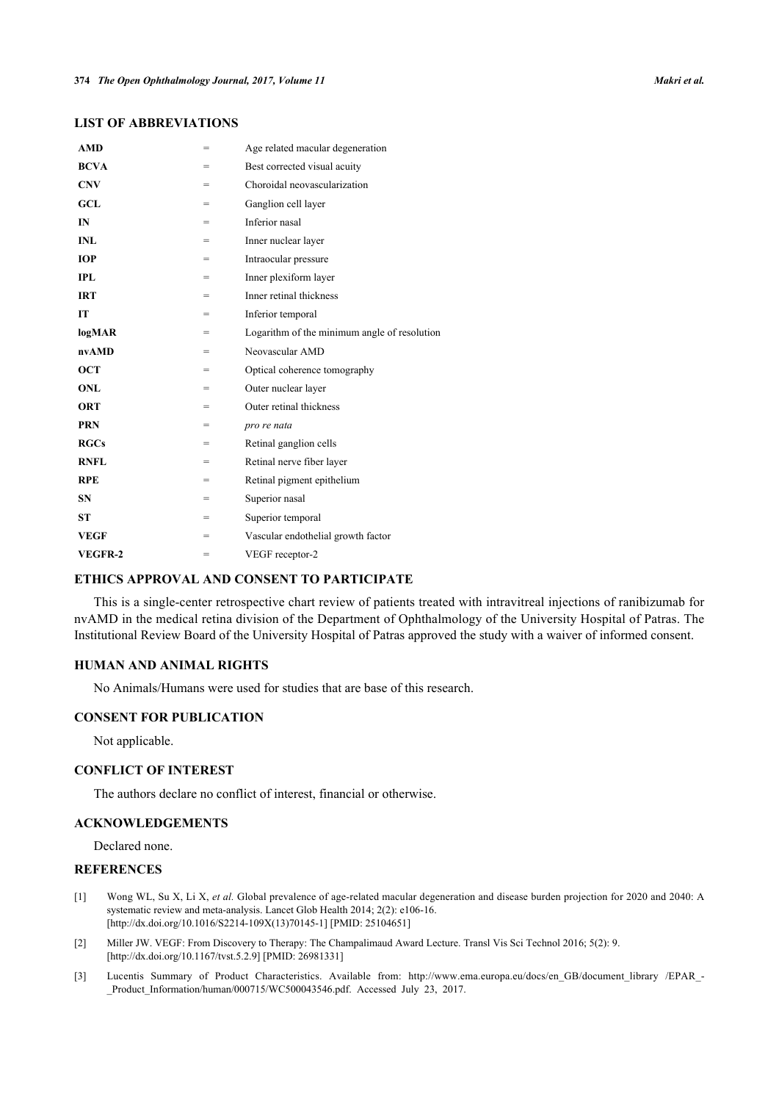| <b>AMD</b>  | $=$ | Age related macular degeneration             |
|-------------|-----|----------------------------------------------|
| <b>BCVA</b> | =   | Best corrected visual acuity                 |
| <b>CNV</b>  | =   | Choroidal neovascularization                 |
| GCL         | =   | Ganglion cell layer                          |
| IN          | $=$ | Inferior nasal                               |
| <b>INL</b>  | $=$ | Inner nuclear layer                          |
| <b>IOP</b>  | =   | Intraocular pressure                         |
| <b>IPL</b>  | $=$ | Inner plexiform layer                        |
| <b>IRT</b>  | =   | Inner retinal thickness                      |
| <b>IT</b>   | =   | Inferior temporal                            |
| logMAR      | =   | Logarithm of the minimum angle of resolution |
| nvAMD       | =   | Neovascular AMD                              |
| <b>OCT</b>  | $=$ | Optical coherence tomography                 |
| <b>ONL</b>  | $=$ | Outer nuclear layer                          |
| <b>ORT</b>  | =   | Outer retinal thickness                      |
| <b>PRN</b>  | $=$ | pro re nata                                  |
| RGCs        | =   | Retinal ganglion cells                       |
| <b>RNFL</b> | $=$ | Retinal nerve fiber layer                    |
| <b>RPE</b>  | =   | Retinal pigment epithelium                   |
| <b>SN</b>   | =   | Superior nasal                               |
| <b>ST</b>   | $=$ | Superior temporal                            |
| <b>VEGF</b> | =   | Vascular endothelial growth factor           |
| VEGFR-2     | $=$ | VEGF receptor-2                              |
|             |     |                                              |

# **LIST OF ABBREVIATIONS**

# **ETHICS APPROVAL AND CONSENT TO PARTICIPATE**

This is a single-center retrospective chart review of patients treated with intravitreal injections of ranibizumab for nvAMD in the medical retina division of the Department of Ophthalmology of the University Hospital of Patras. The Institutional Review Board of the University Hospital of Patras approved the study with a waiver of informed consent.

# **HUMAN AND ANIMAL RIGHTS**

No Animals/Humans were used for studies that are base of this research.

## **CONSENT FOR PUBLICATION**

Not applicable.

### **CONFLICT OF INTEREST**

The authors declare no conflict of interest, financial or otherwise.

## **ACKNOWLEDGEMENTS**

Declared none.

# **REFERENCES**

- <span id="page-6-0"></span>[1] Wong WL, Su X, Li X, *et al.* Global prevalence of age-related macular degeneration and disease burden projection for 2020 and 2040: A systematic review and meta-analysis. Lancet Glob Health 2014; 2(2): e106-16. [\[http://dx.doi.org/10.1016/S2214-109X\(13\)70145-1\]](http://dx.doi.org/10.1016/S2214-109X(13)70145-1) [PMID: [25104651](http://www.ncbi.nlm.nih.gov/pubmed/25104651)]
- <span id="page-6-1"></span>[2] Miller JW. VEGF: From Discovery to Therapy: The Champalimaud Award Lecture. Transl Vis Sci Technol 2016; 5(2): 9. [\[http://dx.doi.org/10.1167/tvst.5.2.9](http://dx.doi.org/10.1167/tvst.5.2.9)] [PMID: [26981331\]](http://www.ncbi.nlm.nih.gov/pubmed/26981331)
- <span id="page-6-2"></span>[3] Lucentis Summary of Product Characteristics. Available from: [http://www.ema.europa.eu/docs/en\\_GB/document\\_library /EPAR\\_-](http://www.ema.europa.eu/docs/en_GB/document_library/EPAR_-_Product_Information/human/000715/WC500043546.pdf) [\\_Product\\_Information/human/000715/WC500043546.pdf.](http://www.ema.europa.eu/docs/en_GB/document_library/EPAR_-_Product_Information/human/000715/WC500043546.pdf) Accessed July 23, 2017.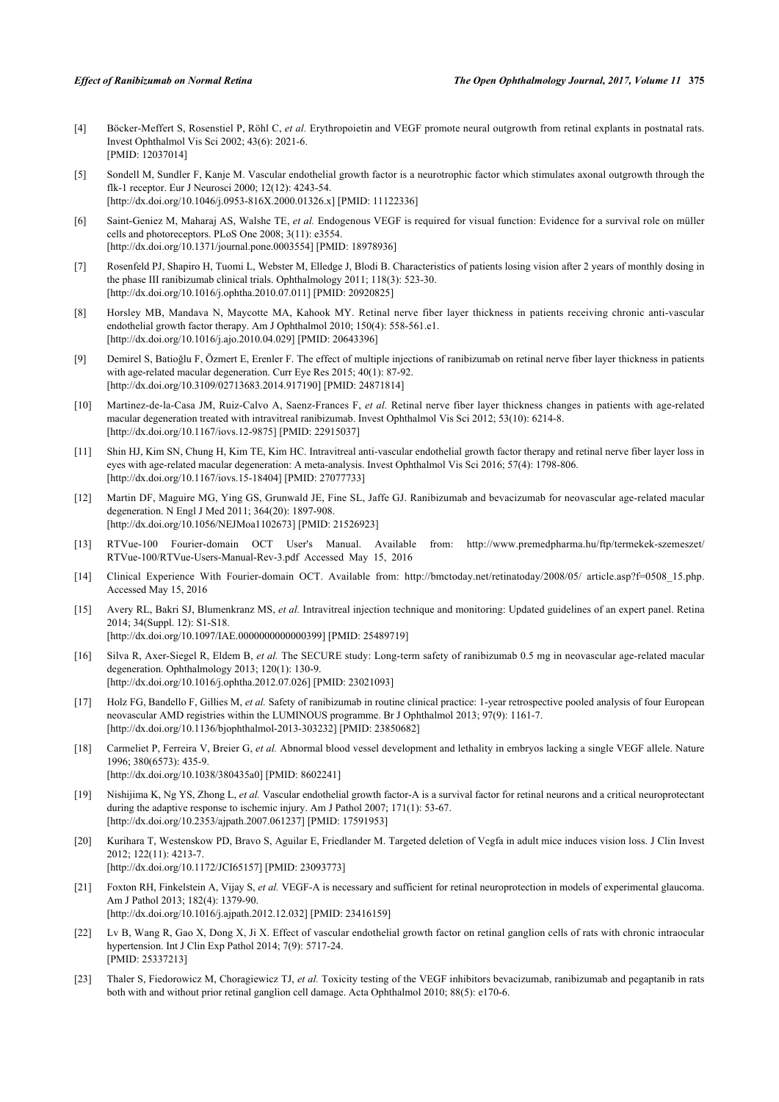- <span id="page-7-0"></span>[4] Böcker-Meffert S, Rosenstiel P, Röhl C, *et al.* Erythropoietin and VEGF promote neural outgrowth from retinal explants in postnatal rats. Invest Ophthalmol Vis Sci 2002; 43(6): 2021-6. [PMID: [12037014\]](http://www.ncbi.nlm.nih.gov/pubmed/12037014)
- [5] Sondell M, Sundler F, Kanje M. Vascular endothelial growth factor is a neurotrophic factor which stimulates axonal outgrowth through the flk-1 receptor. Eur J Neurosci 2000; 12(12): 4243-54. [\[http://dx.doi.org/10.1046/j.0953-816X.2000.01326.x](http://dx.doi.org/10.1046/j.0953-816X.2000.01326.x)] [PMID: [11122336](http://www.ncbi.nlm.nih.gov/pubmed/11122336)]
- <span id="page-7-1"></span>[6] Saint-Geniez M, Maharaj AS, Walshe TE, *et al.* Endogenous VEGF is required for visual function: Evidence for a survival role on müller cells and photoreceptors. PLoS One 2008; 3(11): e3554. [\[http://dx.doi.org/10.1371/journal.pone.0003554](http://dx.doi.org/10.1371/journal.pone.0003554)] [PMID: [18978936\]](http://www.ncbi.nlm.nih.gov/pubmed/18978936)
- <span id="page-7-2"></span>[7] Rosenfeld PJ, Shapiro H, Tuomi L, Webster M, Elledge J, Blodi B. Characteristics of patients losing vision after 2 years of monthly dosing in the phase III ranibizumab clinical trials. Ophthalmology 2011; 118(3): 523-30. [\[http://dx.doi.org/10.1016/j.ophtha.2010.07.011\]](http://dx.doi.org/10.1016/j.ophtha.2010.07.011) [PMID: [20920825](http://www.ncbi.nlm.nih.gov/pubmed/20920825)]
- <span id="page-7-3"></span>[8] Horsley MB, Mandava N, Maycotte MA, Kahook MY. Retinal nerve fiber layer thickness in patients receiving chronic anti-vascular endothelial growth factor therapy. Am J Ophthalmol 2010; 150(4): 558-561.e1. [\[http://dx.doi.org/10.1016/j.ajo.2010.04.029\]](http://dx.doi.org/10.1016/j.ajo.2010.04.029) [PMID: [20643396](http://www.ncbi.nlm.nih.gov/pubmed/20643396)]
- <span id="page-7-4"></span>[9] Demirel S, Batioğlu F, Özmert E, Erenler F. The effect of multiple injections of ranibizumab on retinal nerve fiber layer thickness in patients with age-related macular degeneration. Curr Eye Res 2015; 40(1): 87-92. [\[http://dx.doi.org/10.3109/02713683.2014.917190\]](http://dx.doi.org/10.3109/02713683.2014.917190) [PMID: [24871814](http://www.ncbi.nlm.nih.gov/pubmed/24871814)]
- <span id="page-7-5"></span>[10] Martinez-de-la-Casa JM, Ruiz-Calvo A, Saenz-Frances F, *et al.* Retinal nerve fiber layer thickness changes in patients with age-related macular degeneration treated with intravitreal ranibizumab. Invest Ophthalmol Vis Sci 2012; 53(10): 6214-8. [\[http://dx.doi.org/10.1167/iovs.12-9875\]](http://dx.doi.org/10.1167/iovs.12-9875) [PMID: [22915037](http://www.ncbi.nlm.nih.gov/pubmed/22915037)]
- <span id="page-7-6"></span>[11] Shin HJ, Kim SN, Chung H, Kim TE, Kim HC. Intravitreal anti-vascular endothelial growth factor therapy and retinal nerve fiber layer loss in eyes with age-related macular degeneration: A meta-analysis. Invest Ophthalmol Vis Sci 2016; 57(4): 1798-806. [\[http://dx.doi.org/10.1167/iovs.15-18404\]](http://dx.doi.org/10.1167/iovs.15-18404) [PMID: [27077733](http://www.ncbi.nlm.nih.gov/pubmed/27077733)]
- <span id="page-7-7"></span>[12] Martin DF, Maguire MG, Ying GS, Grunwald JE, Fine SL, Jaffe GJ. Ranibizumab and bevacizumab for neovascular age-related macular degeneration. N Engl J Med 2011; 364(20): 1897-908. [\[http://dx.doi.org/10.1056/NEJMoa1102673](http://dx.doi.org/10.1056/NEJMoa1102673)] [PMID: [21526923\]](http://www.ncbi.nlm.nih.gov/pubmed/21526923)
- [13] RTVue-100 Fourier-domain OCT User's Manual. Available from: [http://www.premedpharma.hu/ftp/termekek-szemeszet/](http://www.premedpharma.hu/ftp/termekek-szemeszet/RTVue-100/RTVue-Users-Manual-Rev-3.pdf) [RTVue-100/RTVue-Users-Manual-Rev-3.pdf](http://www.premedpharma.hu/ftp/termekek-szemeszet/RTVue-100/RTVue-Users-Manual-Rev-3.pdf) Accessed May 15, 2016
- [14] Clinical Experience With Fourier-domain OCT. Available from: [http://bmctoday.net/retinatoday/2008/05/ article.asp?f=0508\\_15.php.](http://bmctoday.net/retinatoday/2008/05/article.asp?f=0508_15.php) Accessed May 15, 2016
- <span id="page-7-8"></span>[15] Avery RL, Bakri SJ, Blumenkranz MS, *et al.* Intravitreal injection technique and monitoring: Updated guidelines of an expert panel. Retina 2014; 34(Suppl. 12): S1-S18. [\[http://dx.doi.org/10.1097/IAE.0000000000000399](http://dx.doi.org/10.1097/IAE.0000000000000399)] [PMID: [25489719\]](http://www.ncbi.nlm.nih.gov/pubmed/25489719)
- <span id="page-7-9"></span>[16] Silva R, Axer-Siegel R, Eldem B, *et al.* The SECURE study: Long-term safety of ranibizumab 0.5 mg in neovascular age-related macular degeneration. Ophthalmology 2013; 120(1): 130-9. [\[http://dx.doi.org/10.1016/j.ophtha.2012.07.026\]](http://dx.doi.org/10.1016/j.ophtha.2012.07.026) [PMID: [23021093](http://www.ncbi.nlm.nih.gov/pubmed/23021093)]
- <span id="page-7-10"></span>[17] Holz FG, Bandello F, Gillies M, *et al.* Safety of ranibizumab in routine clinical practice: 1-year retrospective pooled analysis of four European neovascular AMD registries within the LUMINOUS programme. Br J Ophthalmol 2013; 97(9): 1161-7. [\[http://dx.doi.org/10.1136/bjophthalmol-2013-303232\]](http://dx.doi.org/10.1136/bjophthalmol-2013-303232) [PMID: [23850682](http://www.ncbi.nlm.nih.gov/pubmed/23850682)]
- <span id="page-7-11"></span>[18] Carmeliet P, Ferreira V, Breier G, *et al.* Abnormal blood vessel development and lethality in embryos lacking a single VEGF allele. Nature 1996; 380(6573): 435-9. [\[http://dx.doi.org/10.1038/380435a0](http://dx.doi.org/10.1038/380435a0)] [PMID: [8602241\]](http://www.ncbi.nlm.nih.gov/pubmed/8602241)
- <span id="page-7-12"></span>[19] Nishijima K, Ng YS, Zhong L, *et al.* Vascular endothelial growth factor-A is a survival factor for retinal neurons and a critical neuroprotectant during the adaptive response to ischemic injury. Am J Pathol 2007; 171(1): 53-67. [\[http://dx.doi.org/10.2353/ajpath.2007.061237](http://dx.doi.org/10.2353/ajpath.2007.061237)] [PMID: [17591953\]](http://www.ncbi.nlm.nih.gov/pubmed/17591953)
- <span id="page-7-13"></span>[20] Kurihara T, Westenskow PD, Bravo S, Aguilar E, Friedlander M. Targeted deletion of Vegfa in adult mice induces vision loss. J Clin Invest 2012; 122(11): 4213-7. [\[http://dx.doi.org/10.1172/JCI65157\]](http://dx.doi.org/10.1172/JCI65157) [PMID: [23093773](http://www.ncbi.nlm.nih.gov/pubmed/23093773)]
- <span id="page-7-14"></span>[21] Foxton RH, Finkelstein A, Vijay S, *et al.* VEGF-A is necessary and sufficient for retinal neuroprotection in models of experimental glaucoma. Am J Pathol 2013; 182(4): 1379-90. [\[http://dx.doi.org/10.1016/j.ajpath.2012.12.032\]](http://dx.doi.org/10.1016/j.ajpath.2012.12.032) [PMID: [23416159](http://www.ncbi.nlm.nih.gov/pubmed/23416159)]
- <span id="page-7-15"></span>[22] Lv B, Wang R, Gao X, Dong X, Ji X. Effect of vascular endothelial growth factor on retinal ganglion cells of rats with chronic intraocular hypertension. Int J Clin Exp Pathol 2014; 7(9): 5717-24. [PMID: [25337213\]](http://www.ncbi.nlm.nih.gov/pubmed/25337213)
- <span id="page-7-16"></span>[23] Thaler S, Fiedorowicz M, Choragiewicz TJ, *et al.* Toxicity testing of the VEGF inhibitors bevacizumab, ranibizumab and pegaptanib in rats both with and without prior retinal ganglion cell damage. Acta Ophthalmol 2010; 88(5): e170-6.